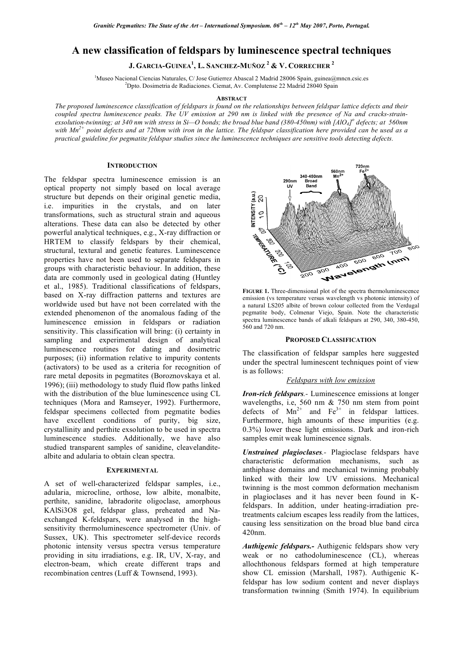# **A new classification of feldspars by luminescence spectral techniques**

**J. GARCIA-GUINEA<sup>1</sup> , L. SANCHEZ-MUÑOZ 2 & V. CORRECHER <sup>2</sup>**

<sup>1</sup>Museo Nacional Ciencias Naturales, C/ Jose Gutierrez Abascal 2 Madrid 28006 Spain, guinea@mncn.csic.es 2 Dpto. Dosimetria de Radiaciones. Ciemat, Av. Complutense 22 Madrid 28040 Spain

### **ABSTRACT**

The proposed luminescence classification of feldspars is found on the relationships between feldspar lattice defects and their coupled spectra luminescence peaks. The UV emission at 290 nm is linked with the presence of Na and cracks-strainexsolution-twinning; at 340 nm with stress in Si–O bonds; the broad blue band (380-450nm) with [AlO4]<sup>o</sup> defects; at 560nm with  $Mn^{2+}$  point defects and at 720nm with iron in the lattice. The feldspar classification here provided can be used as a practical guideline for pegmatite feldspar studies since the luminescence techniques are sensitive tools detecting defects.

# **INTRODUCTION**

The feldspar spectra luminescence emission is an optical property not simply based on local average structure but depends on their original genetic media, i.e. impurities in the crystals, and on later transformations, such as structural strain and aqueous alterations. These data can also be detected by other powerful analytical techniques, e.g., X-ray diffraction or HRTEM to classify feldspars by their chemical, structural, textural and genetic features. Luminescence properties have not been used to separate feldspars in groups with characteristic behaviour. In addition, these data are commonly used in geological dating (Huntley et al., 1985). Traditional classifications of feldspars, based on X-ray diffraction patterns and textures are worldwide used but have not been correlated with the extended phenomenon of the anomalous fading of the luminescence emission in feldspars or radiation sensitivity. This classification will bring: (i) certainty in sampling and experimental design of analytical luminescence routines for dating and dosimetric purposes; (ii) information relative to impurity contents (activators) to be used as a criteria for recognition of rare metal deposits in pegmatites (Boroznovskaya et al. 1996); (iii) methodology to study fluid flow paths linked with the distribution of the blue luminescence using CL techniques (Mora and Ramseyer, 1992). Furthermore, feldspar specimens collected from pegmatite bodies have excellent conditions of purity, big size, crystallinity and perthite exsolution to be used in spectra luminescence studies. Additionally, we have also studied transparent samples of sanidine, cleavelanditealbite and adularia to obtain clean spectra.

#### **EXPERIMENTAL**

A set of well-characterized feldspar samples, i.e., adularia, microcline, orthose, low albite, monalbite, perthite, sanidine, labradorite oligoclase, amorphous KAlSi3O8 gel, feldspar glass, preheated and Naexchanged K-feldspars, were analysed in the highsensitivity thermoluminescence spectrometer (Univ. of Sussex, UK). This spectrometer self-device records photonic intensity versus spectra versus temperature providing in situ irradiations, e.g. IR, UV, X-ray, and electron-beam, which create different traps and recombination centres (Luff & Townsend, 1993).



**FIGURE 1.** Three-dimensional plot of the spectra thermoluminescence emission (vs temperature versus wavelength vs photonic intensity) of a natural LS205 albite of brown colour collected from the Verdugal pegmatite body, Colmenar Viejo, Spain. Note the characteristic spectra luminescence bands of alkali feldspars at 290, 340, 380-450, 560 and 720 nm.

#### **PROPOSED CLASSIFICATION**

The classification of feldspar samples here suggested under the spectral luminescent techniques point of view is as follows:

# *Feldspars with low emission*

*Iron-rich feldspars.-* Luminescence emissions at longer wavelengths, i.e, 560 nm & 750 nm stem from point defects of  $Mn^{2+}$  and  $Fe^{3+}$  in feldspar lattices. Furthermore, high amounts of these impurities (e.g. 0.3%) lower these light emissions. Dark and iron-rich samples emit weak luminescence signals.

*Unstrained plagioclases.-* Plagioclase feldspars have characteristic deformation mechanisms, such as anthiphase domains and mechanical twinning probably linked with their low UV emissions. Mechanical twinning is the most common deformation mechanism in plagioclases and it has never been found in Kfeldspars. In addition, under heating-irradiation pretreatments calcium escapes less readily from the lattices, causing less sensitization on the broad blue band circa 420nm.

*Authigenic feldspars.-* Authigenic feldspars show very weak or no cathodoluminescence (CL), whereas allochthonous feldspars formed at high temperature show CL emission (Marshall, 1987). Authigenic Kfeldspar has low sodium content and never displays transformation twinning (Smith 1974). In equilibrium